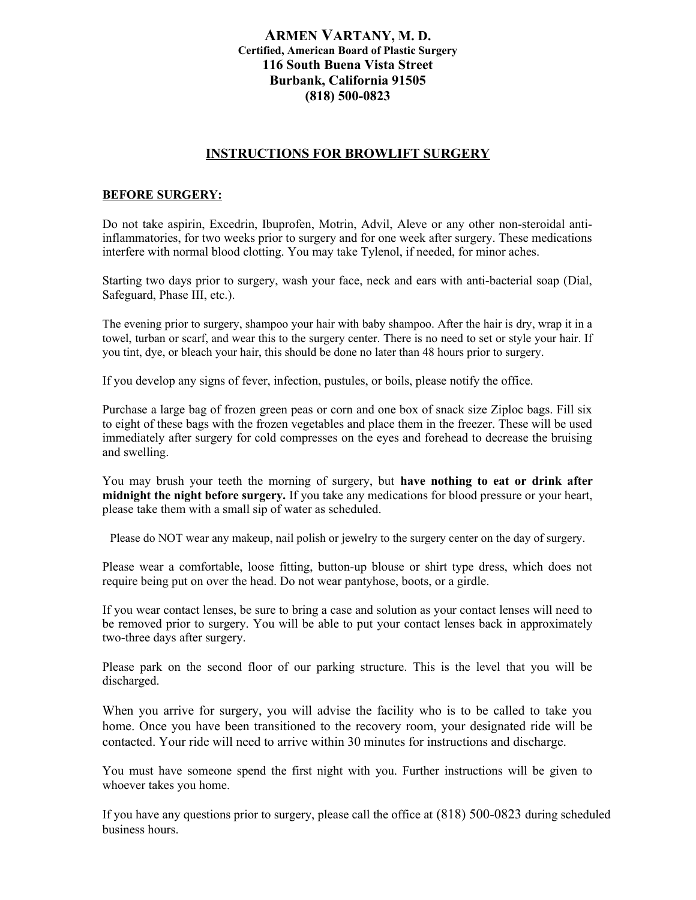## **ARMEN VARTANY, M. D. Certified, American Board of Plastic Surgery 116 South Buena Vista Street Burbank, California 91505 (818) 500-0823**

## **INSTRUCTIONS FOR BROWLIFT SURGERY**

## **BEFORE SURGERY:**

Do not take aspirin, Excedrin, Ibuprofen, Motrin, Advil, Aleve or any other non-steroidal antiinflammatories, for two weeks prior to surgery and for one week after surgery. These medications interfere with normal blood clotting. You may take Tylenol, if needed, for minor aches.

Starting two days prior to surgery, wash your face, neck and ears with anti-bacterial soap (Dial, Safeguard, Phase III, etc.).

The evening prior to surgery, shampoo your hair with baby shampoo. After the hair is dry, wrap it in a towel, turban or scarf, and wear this to the surgery center. There is no need to set or style your hair. If you tint, dye, or bleach your hair, this should be done no later than 48 hours prior to surgery.

If you develop any signs of fever, infection, pustules, or boils, please notify the office.

Purchase a large bag of frozen green peas or corn and one box of snack size Ziploc bags. Fill six to eight of these bags with the frozen vegetables and place them in the freezer. These will be used immediately after surgery for cold compresses on the eyes and forehead to decrease the bruising and swelling.

You may brush your teeth the morning of surgery, but **have nothing to eat or drink after midnight the night before surgery.** If you take any medications for blood pressure or your heart, please take them with a small sip of water as scheduled.

Please do NOT wear any makeup, nail polish or jewelry to the surgery center on the day of surgery.

Please wear a comfortable, loose fitting, button-up blouse or shirt type dress, which does not require being put on over the head. Do not wear pantyhose, boots, or a girdle.

If you wear contact lenses, be sure to bring a case and solution as your contact lenses will need to be removed prior to surgery. You will be able to put your contact lenses back in approximately two-three days after surgery.

Please park on the second floor of our parking structure. This is the level that you will be discharged.

When you arrive for surgery, you will advise the facility who is to be called to take you home. Once you have been transitioned to the recovery room, your designated ride will be contacted. Your ride will need to arrive within 30 minutes for instructions and discharge.

You must have someone spend the first night with you. Further instructions will be given to whoever takes you home.

If you have any questions prior to surgery, please call the office at (818) 500-0823 during scheduled business hours.